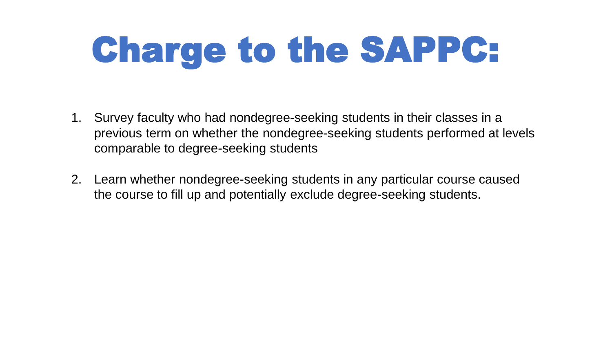# Charge to the SAPPC:

- 1. Survey faculty who had nondegree-seeking students in their classes in a previous term on whether the nondegree-seeking students performed at levels comparable to degree-seeking students
- 2. Learn whether nondegree-seeking students in any particular course caused the course to fill up and potentially exclude degree-seeking students.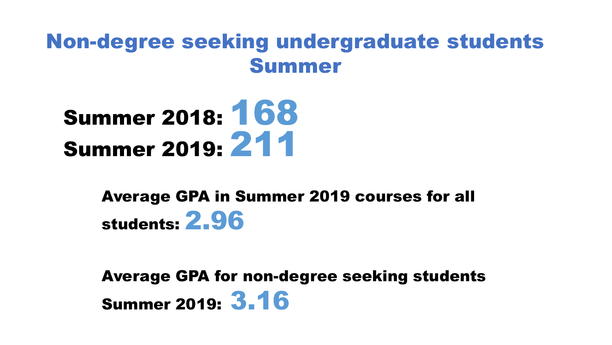#### Non-degree seeking undergraduate students Summer



#### Average GPA in Summer 2019 courses for all students: 2.96

Average GPA for non-degree seeking students Summer 2019: 3.16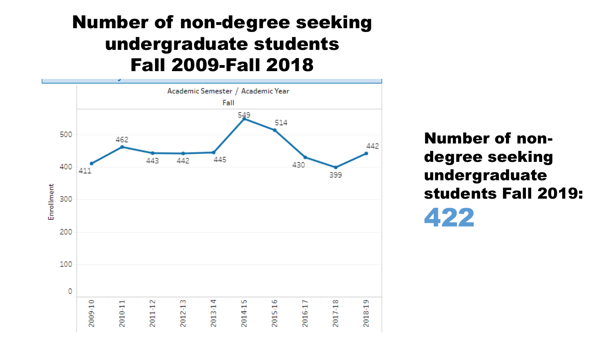#### Number of non-degree seeking undergraduate students Fall 2009-Fall 2018



Number of nondegree seeking undergraduate students Fall 2019: 422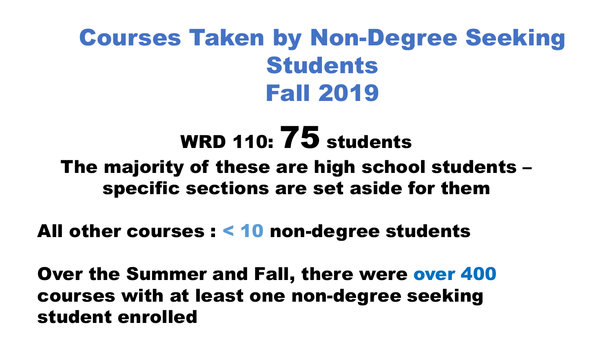# Courses Taken by Non-Degree Seeking Students Fall 2019

# WRD 110:  $75$  students The majority of these are high school students – specific sections are set aside for them

#### All other courses : < 10 non-degree students

Over the Summer and Fall, there were over 400 courses with at least one non-degree seeking student enrolled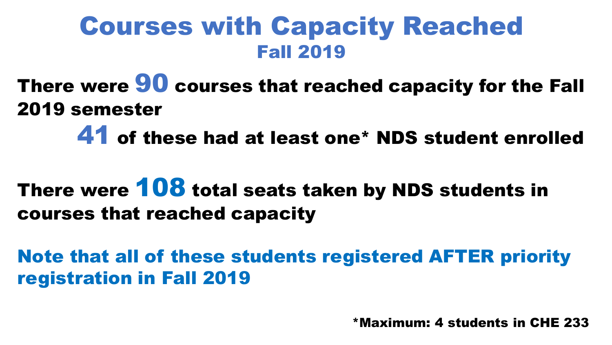# Courses with Capacity Reached Fall 2019

There were **90** courses that reached capacity for the Fall 2019 semester

41 of these had at least one\* NDS student enrolled

There were 108 total seats taken by NDS students in courses that reached capacity

Note that all of these students registered AFTER priority registration in Fall 2019

\*Maximum: 4 students in CHE 233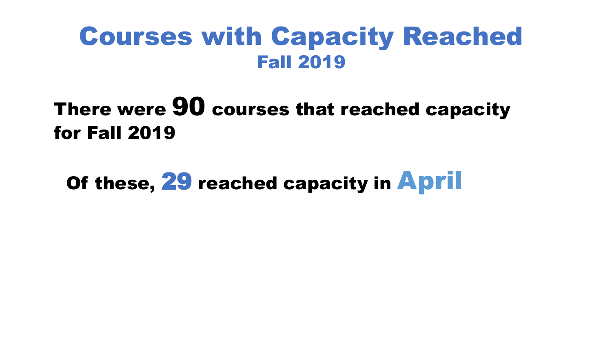## Courses with Capacity Reached Fall 2019

### There were 90 courses that reached capacity for Fall 2019

Of these, 29 reached capacity in **April**